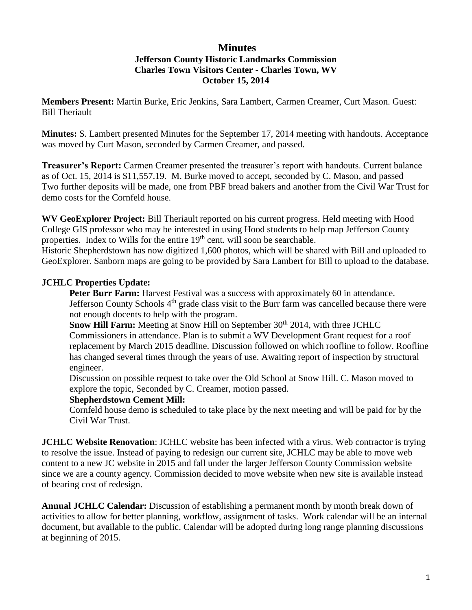#### **Minutes Jefferson County Historic Landmarks Commission Charles Town Visitors Center - Charles Town, WV**

# **October 15, 2014**

**Members Present:** Martin Burke, Eric Jenkins, Sara Lambert, Carmen Creamer, Curt Mason. Guest: Bill Theriault

**Minutes:** S. Lambert presented Minutes for the September 17, 2014 meeting with handouts. Acceptance was moved by Curt Mason, seconded by Carmen Creamer, and passed.

**Treasurer's Report:** Carmen Creamer presented the treasurer's report with handouts. Current balance as of Oct. 15, 2014 is \$11,557.19. M. Burke moved to accept, seconded by C. Mason, and passed Two further deposits will be made, one from PBF bread bakers and another from the Civil War Trust for demo costs for the Cornfeld house.

**WV GeoExplorer Project:** Bill Theriault reported on his current progress. Held meeting with Hood College GIS professor who may be interested in using Hood students to help map Jefferson County properties. Index to Wills for the entire 19<sup>th</sup> cent. will soon be searchable.

Historic Shepherdstown has now digitized 1,600 photos, which will be shared with Bill and uploaded to GeoExplorer. Sanborn maps are going to be provided by Sara Lambert for Bill to upload to the database.

## **JCHLC Properties Update:**

**Peter Burr Farm:** Harvest Festival was a success with approximately 60 in attendance. Jefferson County Schools 4<sup>th</sup> grade class visit to the Burr farm was cancelled because there were not enough docents to help with the program.

**Snow Hill Farm:** Meeting at Snow Hill on September 30<sup>th</sup> 2014, with three JCHLC Commissioners in attendance. Plan is to submit a WV Development Grant request for a roof replacement by March 2015 deadline. Discussion followed on which roofline to follow. Roofline has changed several times through the years of use. Awaiting report of inspection by structural engineer.

Discussion on possible request to take over the Old School at Snow Hill. C. Mason moved to explore the topic, Seconded by C. Creamer, motion passed.

#### **Shepherdstown Cement Mill:**

Cornfeld house demo is scheduled to take place by the next meeting and will be paid for by the Civil War Trust.

**JCHLC Website Renovation**: JCHLC website has been infected with a virus. Web contractor is trying to resolve the issue. Instead of paying to redesign our current site, JCHLC may be able to move web content to a new JC website in 2015 and fall under the larger Jefferson County Commission website since we are a county agency. Commission decided to move website when new site is available instead of bearing cost of redesign.

**Annual JCHLC Calendar:** Discussion of establishing a permanent month by month break down of activities to allow for better planning, workflow, assignment of tasks. Work calendar will be an internal document, but available to the public. Calendar will be adopted during long range planning discussions at beginning of 2015.